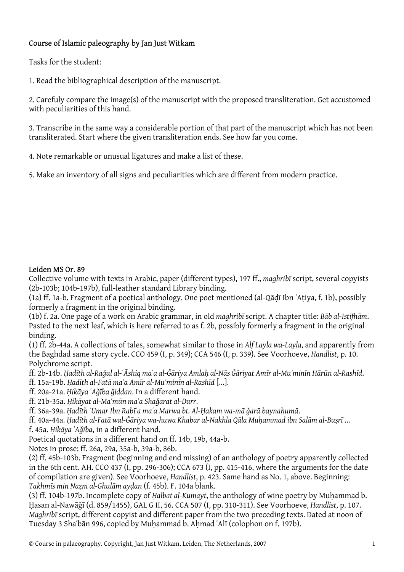## Course of Islamic paleography by Jan Just Witkam

Tasks for the student:

1. Read the bibliographical description of the manuscript.

2. Carefuly compare the image(s) of the manuscript with the proposed transliteration. Get accustomed with peculiarities of this hand.

3. Transcribe in the same way a considerable portion of that part of the manuscript which has not been transliterated. Start where the given transliteration ends. See how far you come.

4. Note remarkable or unusual ligatures and make a list of these.

5. Make an inventory of all signs and peculiarities which are different from modern practice.

## Leiden MS Or. 89

Collective volume with texts in Arabic, paper (different types), 197 ff., *maghribī* script, several copyists (2b-103b; 104b-197b), full-leather standard Library binding.

(1a) ff. 1a-b. Fragment of a poetical anthology. One poet mentioned (al-Qāḍī Ibn ʿAṭiya, f. 1b), possibly formerly a fragment in the original binding.

(1b) f. 2a. One page of a work on Arabic grammar, in old *maghribī* script. A chapter title: *Bāb al-Istifhām*. Pasted to the next leaf, which is here referred to as f. 2b, possibly formerly a fragment in the original binding.

(1) ff. 2b-44a. A collections of tales, somewhat similar to those in *Alf Layla wa-Layla*, and apparently from the Baghdad same story cycle. CCO 459 (I, p. 349); CCA 546 (I, p. 339). See Voorhoeve, *Handlist*, p. 10. Polychrome script.

ff. 2b-14b. Hadīth al-Rağul al-ʿĀshiq maʿa al-Ğāriya Amlah al-Nās Ğāriyat Amīr al-Muʾminīn Hārūn al-Rashīd. ff. 15a-19b. *Ḥadīth al-Fatā maʿa Amīr al-Muʾminīn al-Rashīd* […].

- ff. 20a-21a. *Ḥikāya ʿAǧība ǧiddan*. In a different hand.
- ff. 21b-35a. *Ḥikāyat al-Maʾmūn maʿa Shaǧarat al-Durr*.

ff. 36a-39a. *Ḥadīth ʿUmar Ibn Rabīʿa maʿa Marwa bt. Al-Ḥakam wa-mā ǧarā baynahumā*.

ff. 40a-44a. *Ḥadīth al-Fatā wal-Ǧāriya wa-huwa Khabar al-Nakhla Qāla Muḥammad ibn Salām al-Buṣrī* … f. 45a. *Ḥikāya ʿAǧība*, in a different hand.

Poetical quotations in a different hand on ff. 14b, 19b, 44a-b.

Notes in prose: ff. 26a, 29a, 35a-b, 39a-b, 86b.

(2) ff. 45b-103b. Fragment (beginning and end missing) of an anthology of poetry apparently collected in the 6th cent. AH. CCO 437 (I, pp. 296-306); CCA 673 (I, pp. 415-416, where the arguments for the date of compilation are given). See Voorhoeve, *Handlist*, p. 423. Same hand as No. 1, above. Beginning: *Takhmīs min Naẓm al-Ghulām ayḍan* (f. 45b). F. 104a blank.

(3) ff. 104b-197b. Incomplete copy of *Ḥalbat al-Kumayt*, the anthology of wine poetry by Muḥammad b. Ḥasan al-Nawāǧī (d. 859/1455), GAL G II, 56. CCA 507 (I, pp. 310-311). See Voorhoeve, *Handlist*, p. 107. *Maghribī* script, different copyist and different paper from the two preceding texts. Dated at noon of Tuesday 3 Shaʿbān 996, copied by Muhammad b. Ahmad ʿAlī (colophon on f. 197b).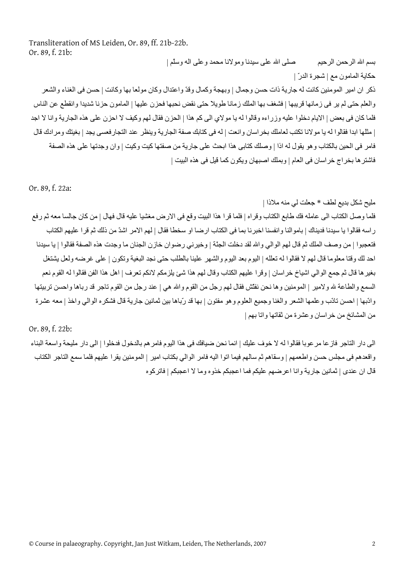Transliteration of MS Leiden, Or. 89, ff. 21b-22b. Or. 89, f. 21b: بسم االله الرحمن الرحيم صلى االله على سيدنا ومولانا محمد وعلى اله وسلّم |

حكاية المامون مع | شجرة الدرّ | ذكر ان امير المومنين كانت له جارية ذات حسن وجمال | وبهجة وكمال وقدّ واعتدال وكان مولعا بها وكانت | حسن فى الغناء والشعر والعلم حتى لم ير فى زمانها قريبها | فشغف بها الملك زمانا طويلا حتى نقض نحبها فحزن عليها | المامون حزنا شديدا وانقطع عن الناس فلما كان فى بعض | الايام دخلوا عليه وزراءه وقالوا له يا مولاي الى كم هذا | الحزن فقال لهم وكيف لا احزن على هذه الجارية وانا لا اجد | مثلها ابدا فقالوا له يا مولانا تكتب لعاملك بخر اسان وانعت | له فى كتابك صفة الجارية وينظر عند التجار فعسى يجد | بغيتك ومرادك قال فامر فى الحين بالكتاب وهو يقول له اذا | وصلك كتابى هذا ابحث على جارية من صفتها كيت وكيت | وان وجدتها على هذه الصفة فاشتر ها بخراج خراسان فى العام | وبملك اصبهان ويكون كما قيل فى هذه البيت |

Or. 89, f. 22a:

مليح شكل بديع لطف \* جعلت لي منه ملاذا |

فلما وصل الكتاب الى عامله فك طابع الكتاب وقراه | فلما قرا هذا البيت وقع فى الارض مغشيا عليه قال فهال | من كان جالسا معه ثم رفع راسه فقالوا يا سيدنا فديناك | باموالنا وانفسنا اخبرنا بما فى الكتاب ارضا او سخطا فقال | لهم الامر اشدّ من ذلك ثم قرا عليهم الكتاب فتعجبوا | من وصف الملك ثم قال لهم الوالي واالله لقد دخلت الجنّة | وخيرني رضوان خازن الجنان ما وجدت هذه الصفة فقالوا | يا سيدنا احد لك وقتا معلوما قال لهم لا فقالوا له تعلله | اليوم بعد اليوم والشهر علينا بالطلب حتى نجد البغية وتكون | على غرضه ولعل يشتغل بغيرها قال ثم جمع الوالي اشياخ خراسان | وقرا عليهم الكتاب وقال لهم هذا شئ يلزمكم لانكم تعرف | اهل هذا الفن فقالوا له القوم نعم السمع والطاعة لله ولامير | المومنين وها نحن نفتّش فقال لهم رجل من القوم والله هي | عند رجل من القوم تاجر قد رباها واحسن تربيتها وادّبها | احسن تادّب وعلمها الشعر والغنا وجميع العلوم وهو مفتون | بها قد رّباها بين ثمانين جارية قال فشكره الوالي واخذ | معه عشرة من المشائخ من خراسان وعشرة من ثقاتها واتا بهم |

Or. 89, f. 22b:

الى دار التاجر فازعا مرعوبا فقالوا له لا خوف عليك | انما نحن ضيافك فى هذا اليوم فامرهم بالدخول فدخلوا | الى دار مليحة واسعة البناء واقعدهم فى مجلس حسن واطعمهم | وسقاهم ثم سالهم فيما اتوا اليه فامر الوالي بكتاب امير | المومنين يقرا عليهم فلما سمع التاجر الكتاب قال ان عندى | ثمانين جارية وانا اعرضهم عليكم فما اعجبكم خذوه وما لا اعجبكم | فاتركوه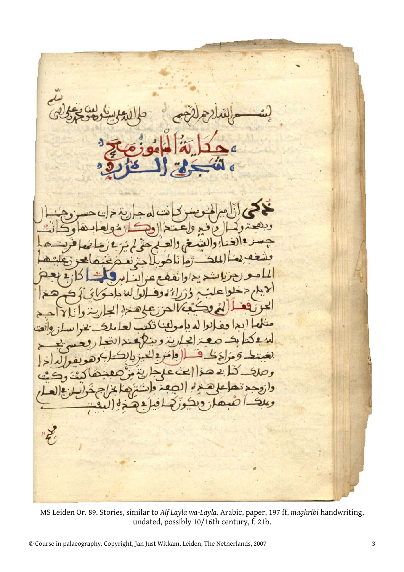MS Leiden Or. 89. Stories, similar to *Alf Layla wa-Layla*. Arabic, paper, 197 ff, *maghribī* handwriting, undated, possibly 10/16th century, f. 21b.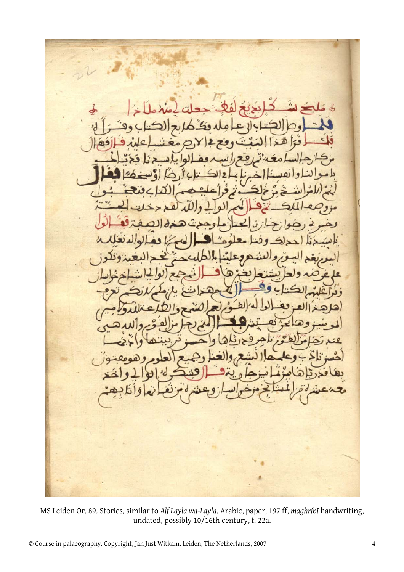ദ

MS Leiden Or. 89. Stories, similar to *Alf Layla wa-Layla*. Arabic, paper, 197 ff, *maghribī* handwriting, undated, possibly 10/16th century, f. 22a.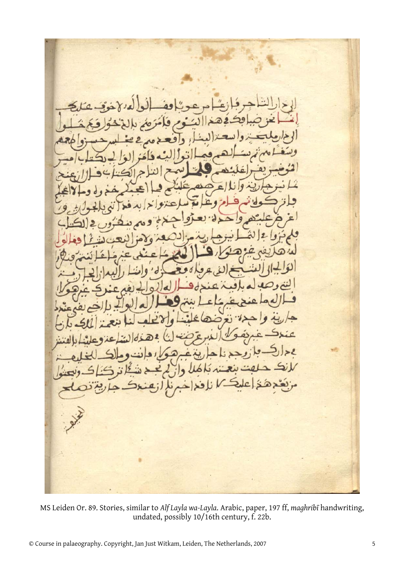MS Leiden Or. 89. Stories, similar to *Alf Layla wa-Layla*. Arabic, paper, 197 ff, *maghribī* handwriting, undated, possibly 10/16th century, f. 22b.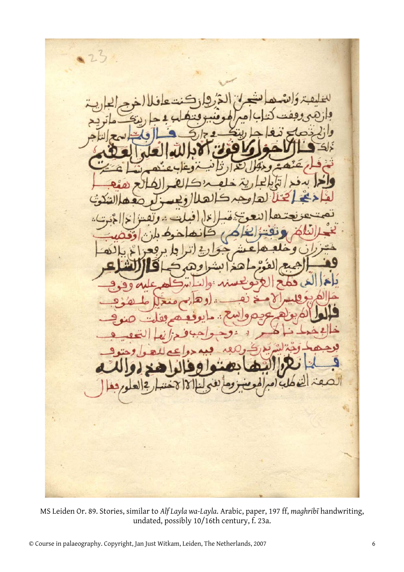MS Leiden Or. 89. Stories, similar to *Alf Layla wa-Layla*. Arabic, paper, 197 ff, *maghribī* handwriting, undated, possibly 10/16th century, f. 23a.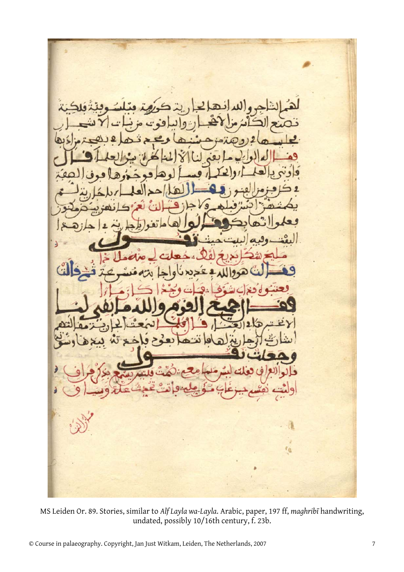٢á

MS Leiden Or. 89. Stories, similar to *Alf Layla wa-Layla*. Arabic, paper, 197 ff, *maghribī* handwriting, undated, possibly 10/16th century, f. 23b.